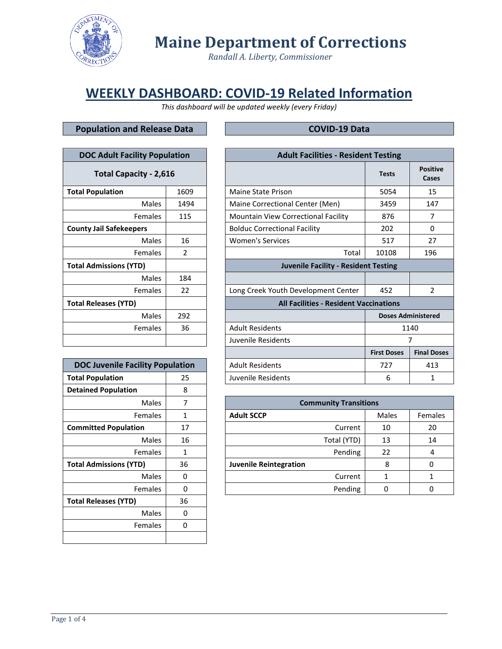

 *Randall A. Liberty, Commissioner*

## **WEEKLY DASHBOARD: COVID-19 Related Information**

*This dashboard will be updated weekly (every Friday)*

#### **Population and Release Data COVID-19 Data**

| <b>DOC Adult Facility Population</b> |               |  |  |  |  |  |  |
|--------------------------------------|---------------|--|--|--|--|--|--|
| <b>Total Capacity - 2,616</b>        |               |  |  |  |  |  |  |
| <b>Total Population</b>              | 1609          |  |  |  |  |  |  |
| Males                                | 1494          |  |  |  |  |  |  |
| Females                              | 115           |  |  |  |  |  |  |
| <b>County Jail Safekeepers</b>       |               |  |  |  |  |  |  |
| Males                                | 16            |  |  |  |  |  |  |
| Females                              | $\mathcal{P}$ |  |  |  |  |  |  |
| <b>Total Admissions (YTD)</b>        |               |  |  |  |  |  |  |
| Males                                | 184           |  |  |  |  |  |  |
| Females                              | 22            |  |  |  |  |  |  |
| <b>Total Releases (YTD)</b>          |               |  |  |  |  |  |  |
| Males                                | 292           |  |  |  |  |  |  |
| Females                              | 36            |  |  |  |  |  |  |
|                                      |               |  |  |  |  |  |  |

| <b>DOC Juvenile Facility Population</b> |    |  |  |  |  |  |
|-----------------------------------------|----|--|--|--|--|--|
| <b>Total Population</b>                 | 25 |  |  |  |  |  |
| <b>Detained Population</b>              | 8  |  |  |  |  |  |
| Males                                   | 7  |  |  |  |  |  |
| Females                                 | 1  |  |  |  |  |  |
| <b>Committed Population</b>             | 17 |  |  |  |  |  |
| Males                                   | 16 |  |  |  |  |  |
| Females                                 | 1  |  |  |  |  |  |
| <b>Total Admissions (YTD)</b>           | 36 |  |  |  |  |  |
| Males                                   | 0  |  |  |  |  |  |
| Females                                 | O  |  |  |  |  |  |
| <b>Total Releases (YTD)</b>             | 36 |  |  |  |  |  |
| Males                                   | O  |  |  |  |  |  |
| Females                                 | n  |  |  |  |  |  |
|                                         |    |  |  |  |  |  |

| <b>DOC Adult Facility Population</b>    |      | <b>Adult Facilities - Resident Testing</b>    |                           |                          |  |
|-----------------------------------------|------|-----------------------------------------------|---------------------------|--------------------------|--|
| <b>Total Capacity - 2,616</b>           |      |                                               | <b>Tests</b>              | <b>Positive</b><br>Cases |  |
| <b>Total Population</b>                 | 1609 | Maine State Prison                            | 5054                      | 15                       |  |
| Males                                   | 1494 | Maine Correctional Center (Men)               | 3459                      | 147                      |  |
| Females                                 | 115  | Mountain View Correctional Facility           | 876                       | 7                        |  |
| <b>County Jail Safekeepers</b>          |      | <b>Bolduc Correctional Facility</b>           | 202                       | $\mathbf{0}$             |  |
| Males                                   | 16   | <b>Women's Services</b>                       | 517                       | 27                       |  |
| Females                                 | 2    | Total                                         | 10108                     | 196                      |  |
| Total Admissions (YTD)                  |      | <b>Juvenile Facility - Resident Testing</b>   |                           |                          |  |
| <b>Males</b>                            | 184  |                                               |                           |                          |  |
| Females                                 | 22   | Long Creek Youth Development Center           | 452                       | 2                        |  |
| Total Releases (YTD)                    |      | <b>All Facilities - Resident Vaccinations</b> |                           |                          |  |
| <b>Males</b>                            | 292  |                                               | <b>Doses Administered</b> |                          |  |
| <b>Females</b>                          | 36   | <b>Adult Residents</b>                        | 1140                      |                          |  |
|                                         |      | Juvenile Residents                            | 7                         |                          |  |
|                                         |      |                                               | <b>First Doses</b>        | <b>Final Doses</b>       |  |
| <b>DOC Juvenile Facility Population</b> |      | <b>Adult Residents</b>                        | 727                       | 413                      |  |
| <b>Total Population</b>                 | 25   | Juvenile Residents                            | 6                         | 1                        |  |

| <b>Males</b>                  |    | <b>Community Transitions</b>  |       |         |  |
|-------------------------------|----|-------------------------------|-------|---------|--|
| <b>Females</b>                |    | <b>Adult SCCP</b>             | Males | Females |  |
| <b>Committed Population</b>   | 17 | Current                       | 10    | 20      |  |
| <b>Males</b>                  | 16 | Total (YTD)                   | 13    | 14      |  |
| <b>Females</b>                |    | Pending                       | 22    |         |  |
| <b>Total Admissions (YTD)</b> | 36 | <b>Juvenile Reintegration</b> | 8     |         |  |
| <b>Males</b>                  | 0  | Current                       |       |         |  |
| Females                       |    | Pending                       |       |         |  |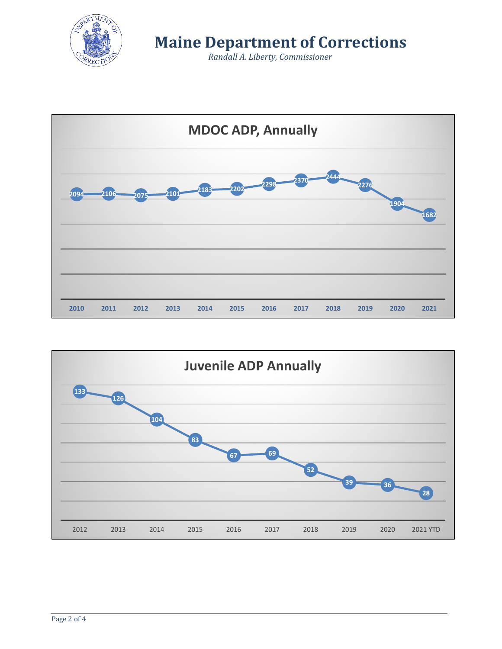

 *Randall A. Liberty, Commissioner*



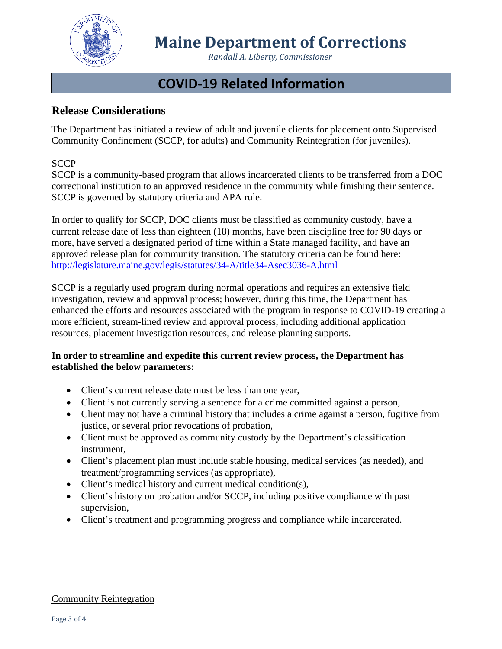

 *Randall A. Liberty, Commissioner*

## **COVID-19 Related Information**

### **Release Considerations**

The Department has initiated a review of adult and juvenile clients for placement onto Supervised Community Confinement (SCCP, for adults) and Community Reintegration (for juveniles).

#### **SCCP**

SCCP is a community-based program that allows incarcerated clients to be transferred from a DOC correctional institution to an approved residence in the community while finishing their sentence. SCCP is governed by statutory criteria and APA rule.

In order to qualify for SCCP, DOC clients must be classified as community custody, have a current release date of less than eighteen (18) months, have been discipline free for 90 days or more, have served a designated period of time within a State managed facility, and have an approved release plan for community transition. The statutory criteria can be found here: <http://legislature.maine.gov/legis/statutes/34-A/title34-Asec3036-A.html>

SCCP is a regularly used program during normal operations and requires an extensive field investigation, review and approval process; however, during this time, the Department has enhanced the efforts and resources associated with the program in response to COVID-19 creating a more efficient, stream-lined review and approval process, including additional application resources, placement investigation resources, and release planning supports.

#### **In order to streamline and expedite this current review process, the Department has established the below parameters:**

- Client's current release date must be less than one year,
- Client is not currently serving a sentence for a crime committed against a person,
- Client may not have a criminal history that includes a crime against a person, fugitive from justice, or several prior revocations of probation,
- Client must be approved as community custody by the Department's classification instrument,
- Client's placement plan must include stable housing, medical services (as needed), and treatment/programming services (as appropriate),
- Client's medical history and current medical condition(s),
- Client's history on probation and/or SCCP, including positive compliance with past supervision,
- Client's treatment and programming progress and compliance while incarcerated.

#### Community Reintegration